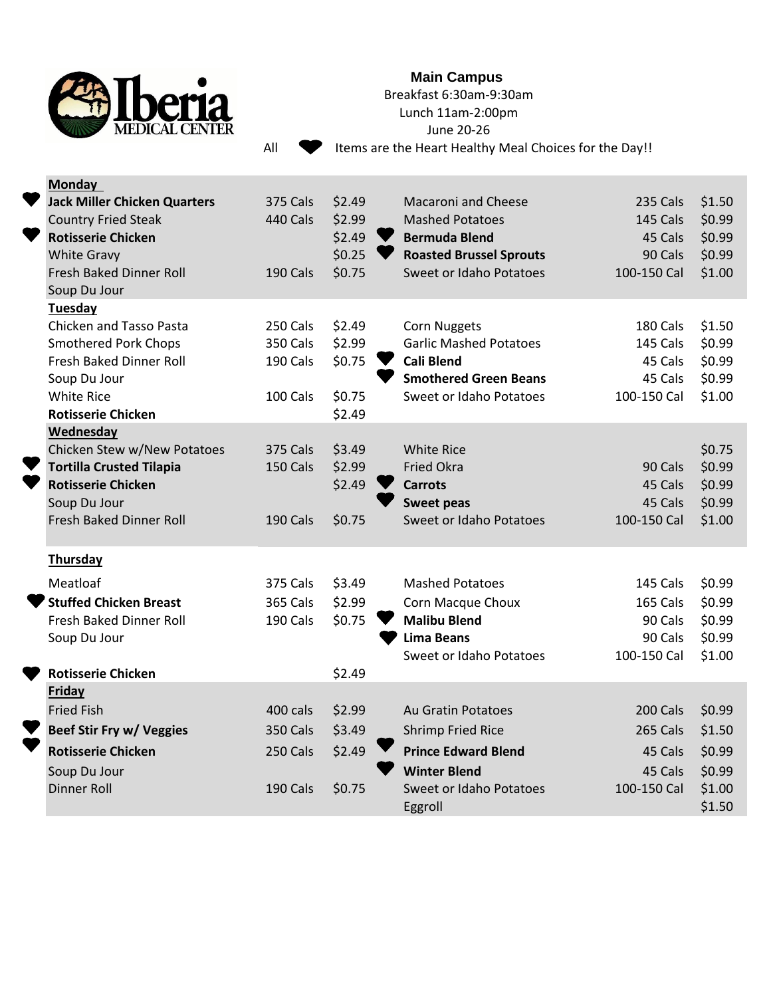

## **Main Campus**

Breakfast 6:30am-9:30am

Lunch 11am-2:00pm

June 20-26

All  $\bullet$  Items are the Heart Healthy Meal Choices for the Day!!

|  | <b>Monday</b>                       |                 |        |                                |             |        |
|--|-------------------------------------|-----------------|--------|--------------------------------|-------------|--------|
|  | <b>Jack Miller Chicken Quarters</b> | <b>375 Cals</b> | \$2.49 | <b>Macaroni and Cheese</b>     | 235 Cals    | \$1.50 |
|  | <b>Country Fried Steak</b>          | <b>440 Cals</b> | \$2.99 | <b>Mashed Potatoes</b>         | 145 Cals    | \$0.99 |
|  | <b>Rotisserie Chicken</b>           |                 | \$2.49 | <b>Bermuda Blend</b>           | 45 Cals     | \$0.99 |
|  | <b>White Gravy</b>                  |                 | \$0.25 | <b>Roasted Brussel Sprouts</b> | 90 Cals     | \$0.99 |
|  | Fresh Baked Dinner Roll             | 190 Cals        | \$0.75 | Sweet or Idaho Potatoes        | 100-150 Cal | \$1.00 |
|  | Soup Du Jour                        |                 |        |                                |             |        |
|  | Tuesday                             |                 |        |                                |             |        |
|  | Chicken and Tasso Pasta             | 250 Cals        | \$2.49 | <b>Corn Nuggets</b>            | 180 Cals    | \$1.50 |
|  | <b>Smothered Pork Chops</b>         | <b>350 Cals</b> | \$2.99 | <b>Garlic Mashed Potatoes</b>  | 145 Cals    | \$0.99 |
|  | Fresh Baked Dinner Roll             | 190 Cals        | \$0.75 | <b>Cali Blend</b>              | 45 Cals     | \$0.99 |
|  | Soup Du Jour                        |                 |        | <b>Smothered Green Beans</b>   | 45 Cals     | \$0.99 |
|  | <b>White Rice</b>                   | 100 Cals        | \$0.75 | Sweet or Idaho Potatoes        | 100-150 Cal | \$1.00 |
|  | <b>Rotisserie Chicken</b>           |                 | \$2.49 |                                |             |        |
|  | <b>Wednesday</b>                    |                 |        |                                |             |        |
|  | Chicken Stew w/New Potatoes         | <b>375 Cals</b> | \$3.49 | <b>White Rice</b>              |             | \$0.75 |
|  | <b>Tortilla Crusted Tilapia</b>     | 150 Cals        | \$2.99 | <b>Fried Okra</b>              | 90 Cals     | \$0.99 |
|  | <b>Rotisserie Chicken</b>           |                 | \$2.49 | <b>Carrots</b>                 | 45 Cals     | \$0.99 |
|  | Soup Du Jour                        |                 |        | <b>Sweet peas</b>              | 45 Cals     | \$0.99 |
|  | Fresh Baked Dinner Roll             | 190 Cals        | \$0.75 | <b>Sweet or Idaho Potatoes</b> | 100-150 Cal | \$1.00 |
|  | <b>Thursday</b>                     |                 |        |                                |             |        |
|  | Meatloaf                            | <b>375 Cals</b> | \$3.49 | <b>Mashed Potatoes</b>         | 145 Cals    | \$0.99 |
|  | <b>Stuffed Chicken Breast</b>       | <b>365 Cals</b> | \$2.99 | Corn Macque Choux              | 165 Cals    | \$0.99 |
|  | Fresh Baked Dinner Roll             | 190 Cals        | \$0.75 | <b>Malibu Blend</b>            | 90 Cals     | \$0.99 |
|  | Soup Du Jour                        |                 |        | <b>Lima Beans</b>              | 90 Cals     | \$0.99 |
|  |                                     |                 |        | Sweet or Idaho Potatoes        | 100-150 Cal | \$1.00 |
|  | <b>Rotisserie Chicken</b>           |                 | \$2.49 |                                |             |        |
|  | <b>Friday</b>                       |                 |        |                                |             |        |
|  | <b>Fried Fish</b>                   | 400 cals        | \$2.99 | Au Gratin Potatoes             | 200 Cals    | \$0.99 |
|  | Beef Stir Fry w/ Veggies            | <b>350 Cals</b> | \$3.49 | <b>Shrimp Fried Rice</b>       | 265 Cals    | \$1.50 |
|  | <b>Rotisserie Chicken</b>           | 250 Cals        | \$2.49 | <b>Prince Edward Blend</b>     | 45 Cals     | \$0.99 |
|  | Soup Du Jour                        |                 |        | <b>Winter Blend</b>            | 45 Cals     | \$0.99 |
|  | Dinner Roll                         | 190 Cals        | \$0.75 | Sweet or Idaho Potatoes        | 100-150 Cal | \$1.00 |
|  |                                     |                 |        | Eggroll                        |             | \$1.50 |